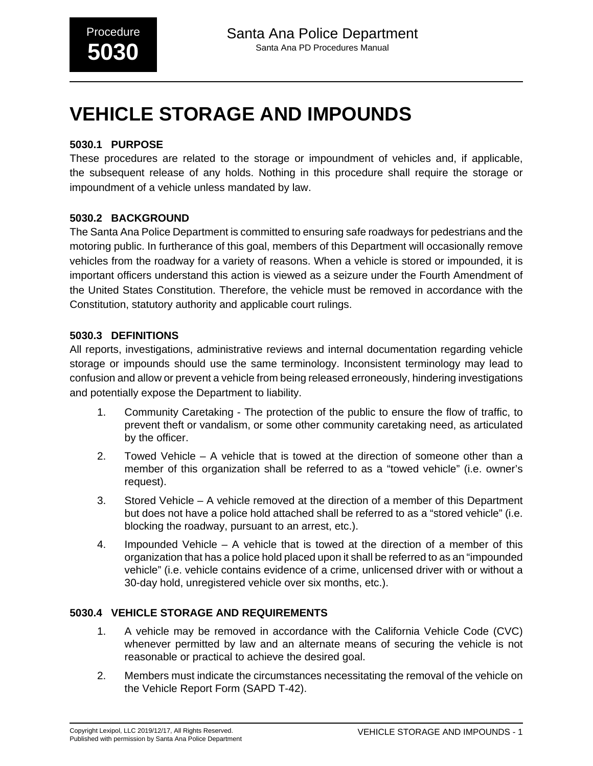# **VEHICLE STORAGE AND IMPOUNDS**

## **5030.1 PURPOSE**

These procedures are related to the storage or impoundment of vehicles and, if applicable, the subsequent release of any holds. Nothing in this procedure shall require the storage or impoundment of a vehicle unless mandated by law.

## **5030.2 BACKGROUND**

The Santa Ana Police Department is committed to ensuring safe roadways for pedestrians and the motoring public. In furtherance of this goal, members of this Department will occasionally remove vehicles from the roadway for a variety of reasons. When a vehicle is stored or impounded, it is important officers understand this action is viewed as a seizure under the Fourth Amendment of the United States Constitution. Therefore, the vehicle must be removed in accordance with the Constitution, statutory authority and applicable court rulings.

## **5030.3 DEFINITIONS**

All reports, investigations, administrative reviews and internal documentation regarding vehicle storage or impounds should use the same terminology. Inconsistent terminology may lead to confusion and allow or prevent a vehicle from being released erroneously, hindering investigations and potentially expose the Department to liability.

- 1. Community Caretaking The protection of the public to ensure the flow of traffic, to prevent theft or vandalism, or some other community caretaking need, as articulated by the officer.
- 2. Towed Vehicle A vehicle that is towed at the direction of someone other than a member of this organization shall be referred to as a "towed vehicle" (i.e. owner's request).
- 3. Stored Vehicle A vehicle removed at the direction of a member of this Department but does not have a police hold attached shall be referred to as a "stored vehicle" (i.e. blocking the roadway, pursuant to an arrest, etc.).
- 4. Impounded Vehicle A vehicle that is towed at the direction of a member of this organization that has a police hold placed upon it shall be referred to as an "impounded vehicle" (i.e. vehicle contains evidence of a crime, unlicensed driver with or without a 30-day hold, unregistered vehicle over six months, etc.).

## **5030.4 VEHICLE STORAGE AND REQUIREMENTS**

- 1. A vehicle may be removed in accordance with the California Vehicle Code (CVC) whenever permitted by law and an alternate means of securing the vehicle is not reasonable or practical to achieve the desired goal.
- 2. Members must indicate the circumstances necessitating the removal of the vehicle on the Vehicle Report Form (SAPD T-42).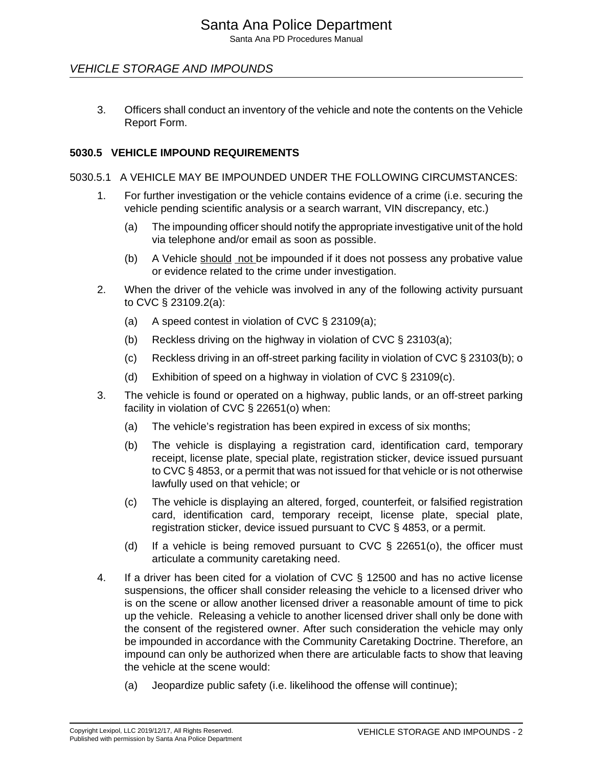## VEHICLE STORAGE AND IMPOUNDS

3. Officers shall conduct an inventory of the vehicle and note the contents on the Vehicle Report Form.

## **5030.5 VEHICLE IMPOUND REQUIREMENTS**

#### 5030.5.1 A VEHICLE MAY BE IMPOUNDED UNDER THE FOLLOWING CIRCUMSTANCES:

- 1. For further investigation or the vehicle contains evidence of a crime (i.e. securing the vehicle pending scientific analysis or a search warrant, VIN discrepancy, etc.)
	- (a) The impounding officer should notify the appropriate investigative unit of the hold via telephone and/or email as soon as possible.
	- (b) A Vehicle should not be impounded if it does not possess any probative value or evidence related to the crime under investigation.
- 2. When the driver of the vehicle was involved in any of the following activity pursuant to CVC § 23109.2(a):
	- (a) A speed contest in violation of CVC § 23109(a);
	- (b) Reckless driving on the highway in violation of CVC § 23103(a);
	- (c) Reckless driving in an off-street parking facility in violation of CVC § 23103(b); o
	- (d) Exhibition of speed on a highway in violation of CVC § 23109(c).
- 3. The vehicle is found or operated on a highway, public lands, or an off-street parking facility in violation of CVC § 22651(o) when:
	- (a) The vehicle's registration has been expired in excess of six months;
	- (b) The vehicle is displaying a registration card, identification card, temporary receipt, license plate, special plate, registration sticker, device issued pursuant to CVC § 4853, or a permit that was not issued for that vehicle or is not otherwise lawfully used on that vehicle; or
	- (c) The vehicle is displaying an altered, forged, counterfeit, or falsified registration card, identification card, temporary receipt, license plate, special plate, registration sticker, device issued pursuant to CVC § 4853, or a permit.
	- (d) If a vehicle is being removed pursuant to CVC  $\S$  22651(o), the officer must articulate a community caretaking need.
- 4. If a driver has been cited for a violation of CVC § 12500 and has no active license suspensions, the officer shall consider releasing the vehicle to a licensed driver who is on the scene or allow another licensed driver a reasonable amount of time to pick up the vehicle. Releasing a vehicle to another licensed driver shall only be done with the consent of the registered owner. After such consideration the vehicle may only be impounded in accordance with the Community Caretaking Doctrine. Therefore, an impound can only be authorized when there are articulable facts to show that leaving the vehicle at the scene would:
	- (a) Jeopardize public safety (i.e. likelihood the offense will continue);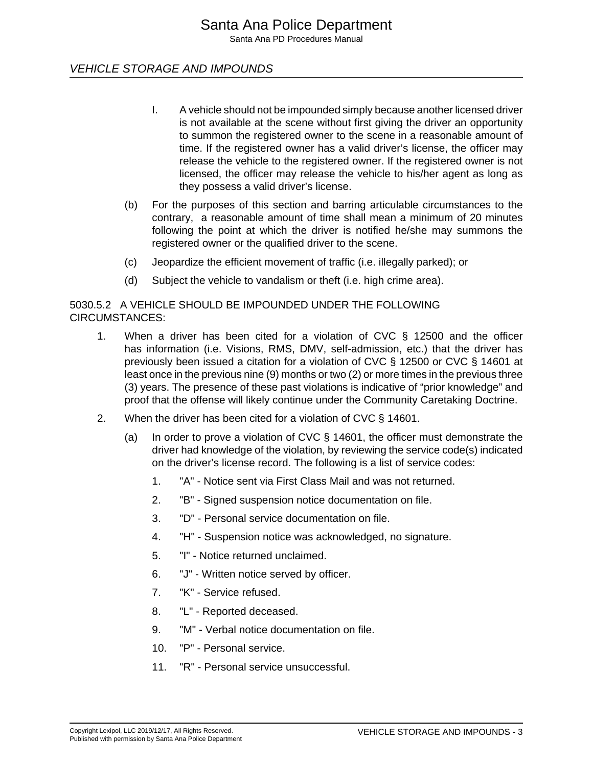## VEHICLE STORAGE AND IMPOUNDS

- I. A vehicle should not be impounded simply because another licensed driver is not available at the scene without first giving the driver an opportunity to summon the registered owner to the scene in a reasonable amount of time. If the registered owner has a valid driver's license, the officer may release the vehicle to the registered owner. If the registered owner is not licensed, the officer may release the vehicle to his/her agent as long as they possess a valid driver's license.
- (b) For the purposes of this section and barring articulable circumstances to the contrary, a reasonable amount of time shall mean a minimum of 20 minutes following the point at which the driver is notified he/she may summons the registered owner or the qualified driver to the scene.
- (c) Jeopardize the efficient movement of traffic (i.e. illegally parked); or
- (d) Subject the vehicle to vandalism or theft (i.e. high crime area).

#### 5030.5.2 A VEHICLE SHOULD BE IMPOUNDED UNDER THE FOLLOWING CIRCUMSTANCES:

- 1. When a driver has been cited for a violation of CVC § 12500 and the officer has information (i.e. Visions, RMS, DMV, self-admission, etc.) that the driver has previously been issued a citation for a violation of CVC § 12500 or CVC § 14601 at least once in the previous nine (9) months or two (2) or more times in the previous three (3) years. The presence of these past violations is indicative of "prior knowledge" and proof that the offense will likely continue under the Community Caretaking Doctrine.
- 2. When the driver has been cited for a violation of CVC § 14601.
	- (a) In order to prove a violation of CVC § 14601, the officer must demonstrate the driver had knowledge of the violation, by reviewing the service code(s) indicated on the driver's license record. The following is a list of service codes:
		- 1. "A" Notice sent via First Class Mail and was not returned.
		- 2. "B" Signed suspension notice documentation on file.
		- 3. "D" Personal service documentation on file.
		- 4. "H" Suspension notice was acknowledged, no signature.
		- 5. "I" Notice returned unclaimed.
		- 6. "J" Written notice served by officer.
		- 7. "K" Service refused.
		- 8. "L" Reported deceased.
		- 9. "M" Verbal notice documentation on file.
		- 10. "P" Personal service.
		- 11. "R" Personal service unsuccessful.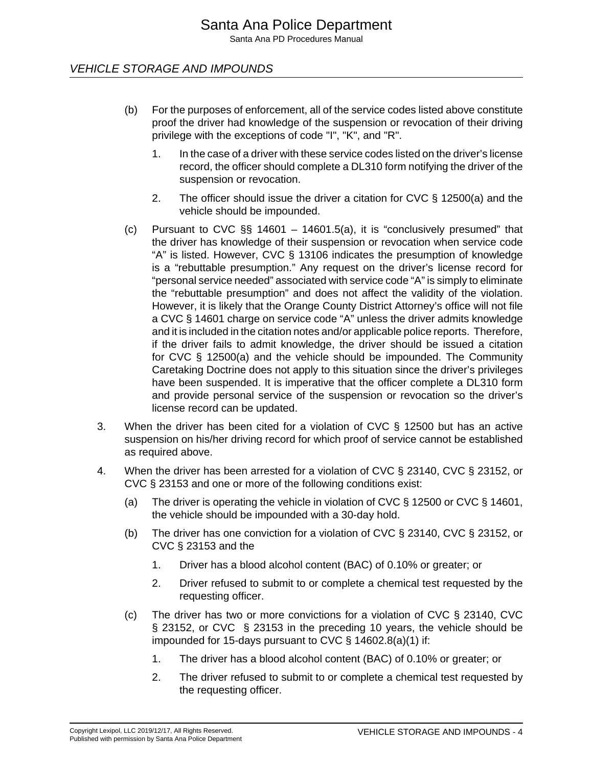## VEHICLE STORAGE AND IMPOUNDS

- (b) For the purposes of enforcement, all of the service codes listed above constitute proof the driver had knowledge of the suspension or revocation of their driving privilege with the exceptions of code "I", "K", and "R".
	- 1. In the case of a driver with these service codes listed on the driver's license record, the officer should complete a DL310 form notifying the driver of the suspension or revocation.
	- 2. The officer should issue the driver a citation for CVC § 12500(a) and the vehicle should be impounded.
- (c) Pursuant to CVC §§ 14601 14601.5(a), it is "conclusively presumed" that the driver has knowledge of their suspension or revocation when service code "A" is listed. However, CVC § 13106 indicates the presumption of knowledge is a "rebuttable presumption." Any request on the driver's license record for "personal service needed" associated with service code "A" is simply to eliminate the "rebuttable presumption" and does not affect the validity of the violation. However, it is likely that the Orange County District Attorney's office will not file a CVC § 14601 charge on service code "A" unless the driver admits knowledge and it is included in the citation notes and/or applicable police reports. Therefore, if the driver fails to admit knowledge, the driver should be issued a citation for CVC § 12500(a) and the vehicle should be impounded. The Community Caretaking Doctrine does not apply to this situation since the driver's privileges have been suspended. It is imperative that the officer complete a DL310 form and provide personal service of the suspension or revocation so the driver's license record can be updated.
- 3. When the driver has been cited for a violation of CVC § 12500 but has an active suspension on his/her driving record for which proof of service cannot be established as required above.
- 4. When the driver has been arrested for a violation of CVC § 23140, CVC § 23152, or CVC § 23153 and one or more of the following conditions exist:
	- (a) The driver is operating the vehicle in violation of CVC § 12500 or CVC § 14601, the vehicle should be impounded with a 30-day hold.
	- (b) The driver has one conviction for a violation of CVC § 23140, CVC § 23152, or CVC § 23153 and the
		- 1. Driver has a blood alcohol content (BAC) of 0.10% or greater; or
		- 2. Driver refused to submit to or complete a chemical test requested by the requesting officer.
	- (c) The driver has two or more convictions for a violation of CVC § 23140, CVC § 23152, or CVC § 23153 in the preceding 10 years, the vehicle should be impounded for 15-days pursuant to CVC § 14602.8(a)(1) if:
		- 1. The driver has a blood alcohol content (BAC) of 0.10% or greater; or
		- 2. The driver refused to submit to or complete a chemical test requested by the requesting officer.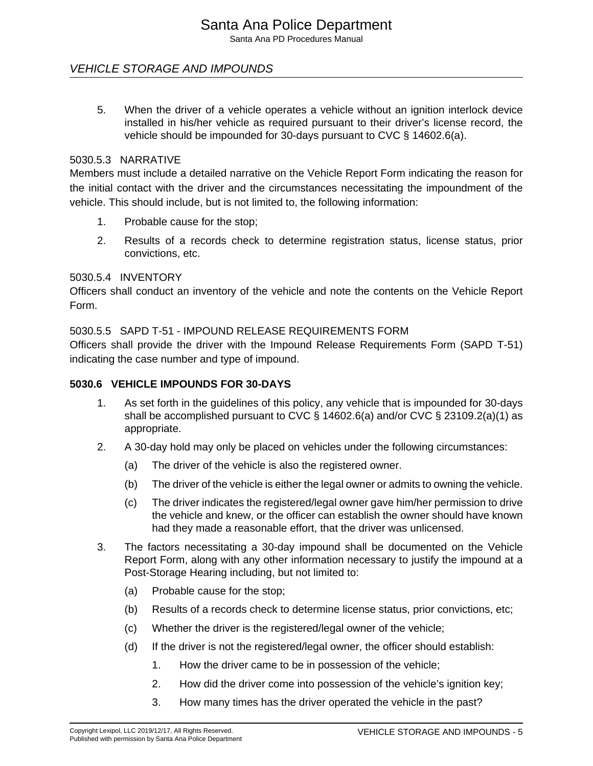## VEHICLE STORAGE AND IMPOUNDS

5. When the driver of a vehicle operates a vehicle without an ignition interlock device installed in his/her vehicle as required pursuant to their driver's license record, the vehicle should be impounded for 30-days pursuant to CVC § 14602.6(a).

#### 5030.5.3 NARRATIVE

Members must include a detailed narrative on the Vehicle Report Form indicating the reason for the initial contact with the driver and the circumstances necessitating the impoundment of the vehicle. This should include, but is not limited to, the following information:

- 1. Probable cause for the stop;
- 2. Results of a records check to determine registration status, license status, prior convictions, etc.

#### 5030.5.4 INVENTORY

Officers shall conduct an inventory of the vehicle and note the contents on the Vehicle Report Form.

5030.5.5 SAPD T-51 - IMPOUND RELEASE REQUIREMENTS FORM

Officers shall provide the driver with the Impound Release Requirements Form (SAPD T-51) indicating the case number and type of impound.

#### **5030.6 VEHICLE IMPOUNDS FOR 30-DAYS**

- 1. As set forth in the guidelines of this policy, any vehicle that is impounded for 30-days shall be accomplished pursuant to CVC § 14602.6(a) and/or CVC § 23109.2(a)(1) as appropriate.
- 2. A 30-day hold may only be placed on vehicles under the following circumstances:
	- (a) The driver of the vehicle is also the registered owner.
	- (b) The driver of the vehicle is either the legal owner or admits to owning the vehicle.
	- (c) The driver indicates the registered/legal owner gave him/her permission to drive the vehicle and knew, or the officer can establish the owner should have known had they made a reasonable effort, that the driver was unlicensed.
- 3. The factors necessitating a 30-day impound shall be documented on the Vehicle Report Form, along with any other information necessary to justify the impound at a Post-Storage Hearing including, but not limited to:
	- (a) Probable cause for the stop;
	- (b) Results of a records check to determine license status, prior convictions, etc;
	- (c) Whether the driver is the registered/legal owner of the vehicle;
	- (d) If the driver is not the registered/legal owner, the officer should establish:
		- 1. How the driver came to be in possession of the vehicle;
		- 2. How did the driver come into possession of the vehicle's ignition key;
		- 3. How many times has the driver operated the vehicle in the past?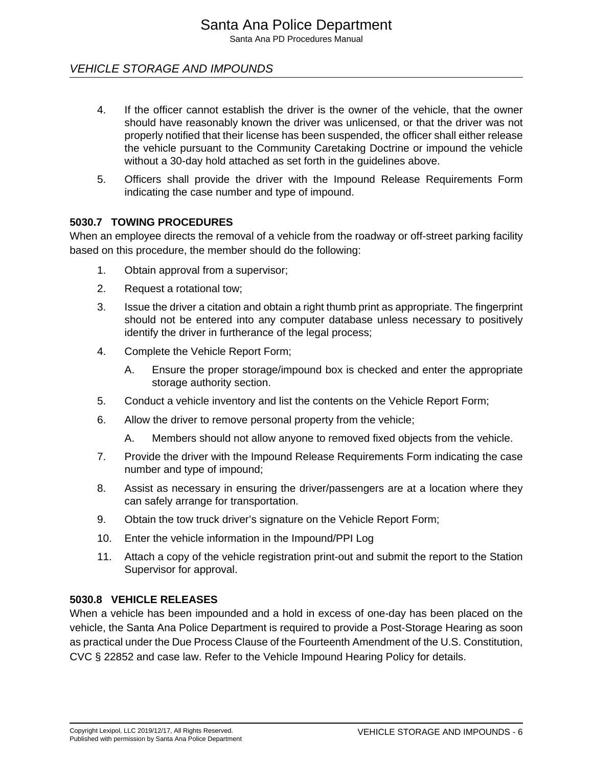## VEHICLE STORAGE AND IMPOUNDS

- 4. If the officer cannot establish the driver is the owner of the vehicle, that the owner should have reasonably known the driver was unlicensed, or that the driver was not properly notified that their license has been suspended, the officer shall either release the vehicle pursuant to the Community Caretaking Doctrine or impound the vehicle without a 30-day hold attached as set forth in the guidelines above.
- 5. Officers shall provide the driver with the Impound Release Requirements Form indicating the case number and type of impound.

#### **5030.7 TOWING PROCEDURES**

When an employee directs the removal of a vehicle from the roadway or off-street parking facility based on this procedure, the member should do the following:

- 1. Obtain approval from a supervisor;
- 2. Request a rotational tow;
- 3. Issue the driver a citation and obtain a right thumb print as appropriate. The fingerprint should not be entered into any computer database unless necessary to positively identify the driver in furtherance of the legal process;
- 4. Complete the Vehicle Report Form;
	- A. Ensure the proper storage/impound box is checked and enter the appropriate storage authority section.
- 5. Conduct a vehicle inventory and list the contents on the Vehicle Report Form;
- 6. Allow the driver to remove personal property from the vehicle;
	- A. Members should not allow anyone to removed fixed objects from the vehicle.
- 7. Provide the driver with the Impound Release Requirements Form indicating the case number and type of impound;
- 8. Assist as necessary in ensuring the driver/passengers are at a location where they can safely arrange for transportation.
- 9. Obtain the tow truck driver's signature on the Vehicle Report Form;
- 10. Enter the vehicle information in the Impound/PPI Log
- 11. Attach a copy of the vehicle registration print-out and submit the report to the Station Supervisor for approval.

#### **5030.8 VEHICLE RELEASES**

When a vehicle has been impounded and a hold in excess of one-day has been placed on the vehicle, the Santa Ana Police Department is required to provide a Post-Storage Hearing as soon as practical under the Due Process Clause of the Fourteenth Amendment of the U.S. Constitution, CVC § 22852 and case law. Refer to the Vehicle Impound Hearing Policy for details.